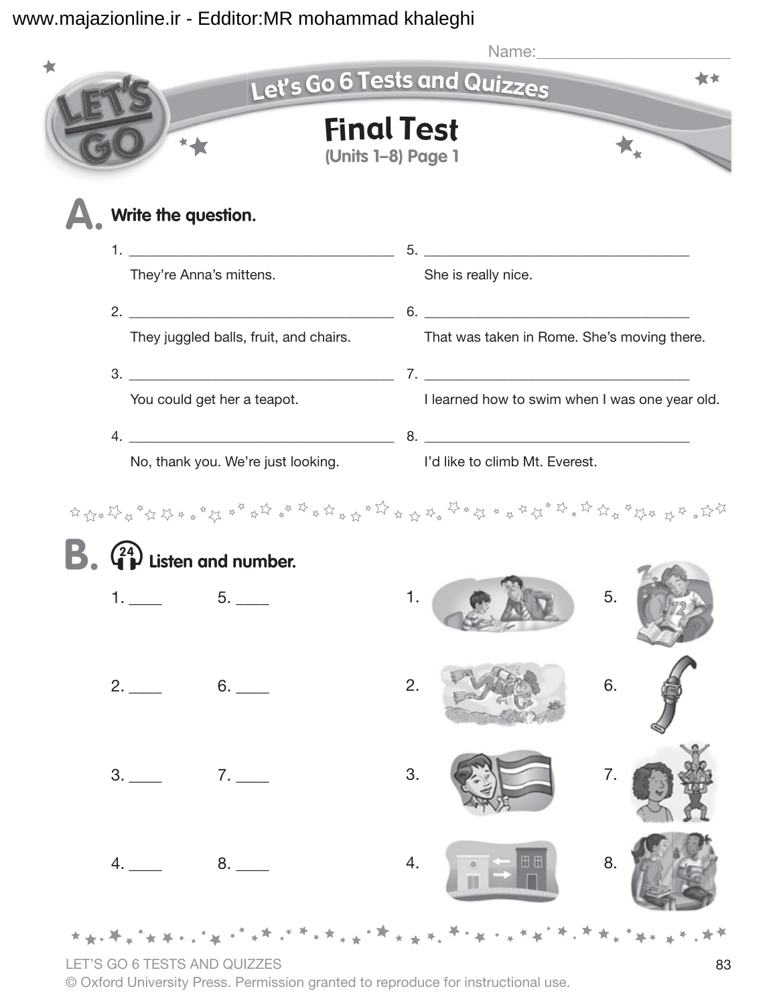|                                        | Let's Go 6 Tests and Quizzes |                                         |                                                                   |          |  |  |
|----------------------------------------|------------------------------|-----------------------------------------|-------------------------------------------------------------------|----------|--|--|
|                                        |                              | <b>Final Test</b><br>(Units 1-8) Page 1 |                                                                   |          |  |  |
| Write the question.                    |                              |                                         |                                                                   |          |  |  |
|                                        | They're Anna's mittens.      |                                         | She is really nice.                                               |          |  |  |
|                                        |                              |                                         |                                                                   |          |  |  |
| They juggled balls, fruit, and chairs. |                              |                                         | That was taken in Rome. She's moving there.                       |          |  |  |
|                                        |                              |                                         |                                                                   |          |  |  |
| You could get her a teapot.            |                              |                                         | I learned how to swim when I was one year old.                    |          |  |  |
|                                        |                              |                                         | No, thank you. We're just looking. I'd like to climb Mt. Everest. |          |  |  |
| Listen and number.                     | $5.$ $\_\_$                  | 1.                                      |                                                                   | 5.       |  |  |
|                                        | 6.                           | 2.                                      |                                                                   | 6.       |  |  |
| 3.                                     | 7.                           | 3.                                      | ⊞ ⊞                                                               | 7.<br>8. |  |  |
| 4.                                     |                              | 4.                                      |                                                                   |          |  |  |

LET'S GO 6 TESTS AND QUIZZES 83

© Oxford University Press. Permission granted to reproduce for instructional use.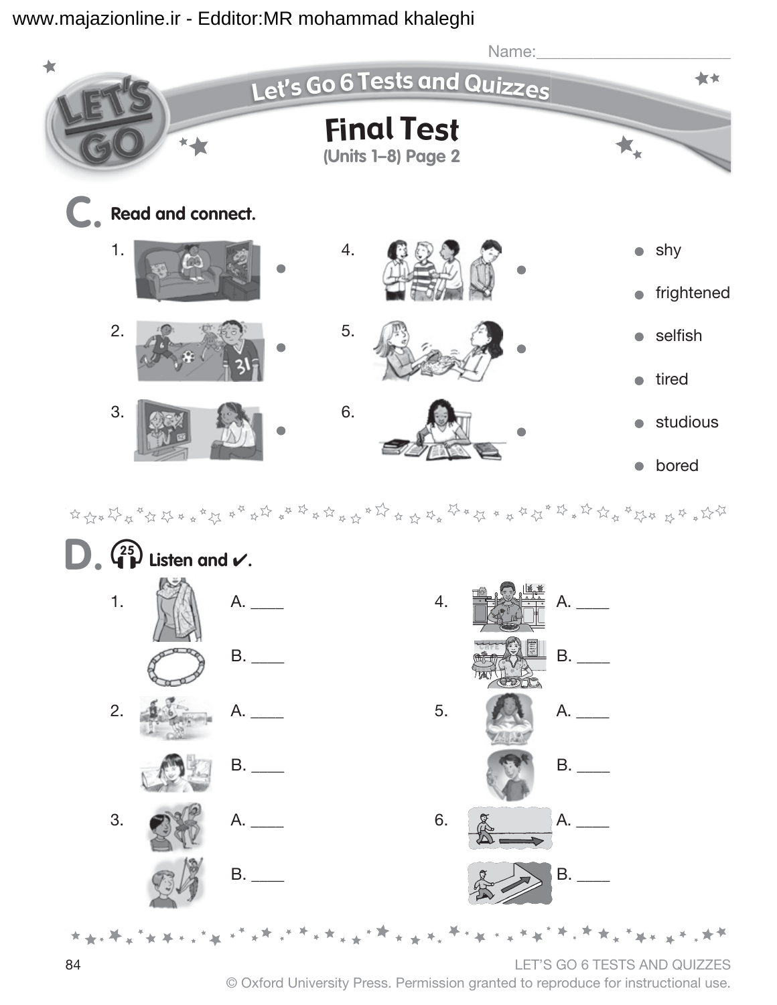

 $\frac{1}{2} \left( \frac{1}{2} \frac{1}{2} \frac{1}{2} \frac{1}{2} \frac{1}{2} \frac{1}{2} \frac{1}{2} \frac{1}{2} \frac{1}{2} \frac{1}{2} \frac{1}{2} \frac{1}{2} \frac{1}{2} \frac{1}{2} \frac{1}{2} \frac{1}{2} \frac{1}{2} \frac{1}{2} \frac{1}{2} \frac{1}{2} \frac{1}{2} \frac{1}{2} \frac{1}{2} \frac{1}{2} \frac{1}{2} \frac{1}{2} \frac{1}{2} \frac{1}{2} \frac{1}{2} \frac{1}{2}$ 



© Oxford University Press. Permission granted to reproduce for instructional use.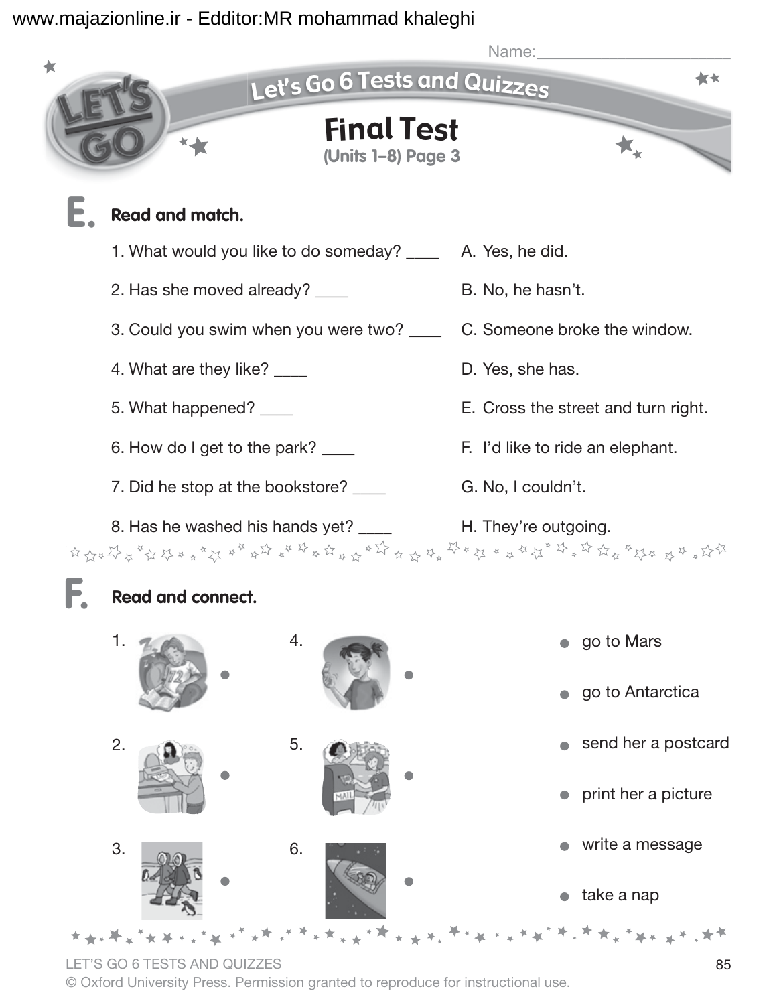

take a nap

\* \* \* \* \* \* \* \* \* \* \* \* \* \* \* \* \* \*

LET'S GO 6 TESTS AND QUIZZES 85

© Oxford University Press. Permission granted to reproduce for instructional use.

<sub>\*</sub>\*<sup></sup>\*<sup>\*</sup>\*\*\*\*<sup>\*\*</sup>\*\*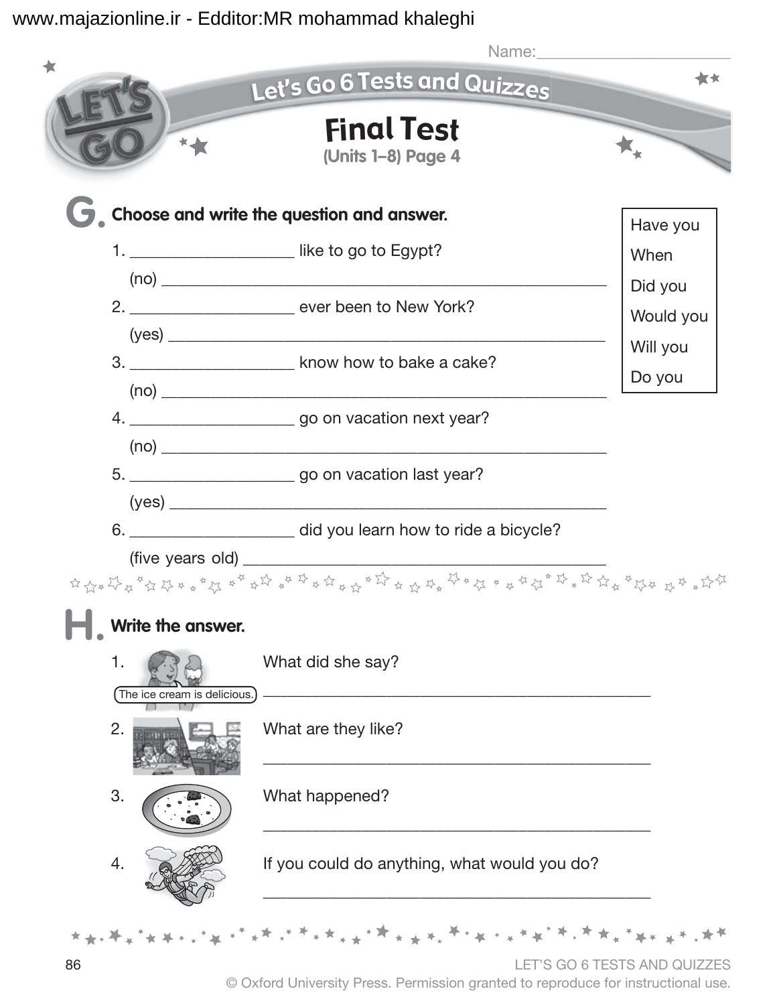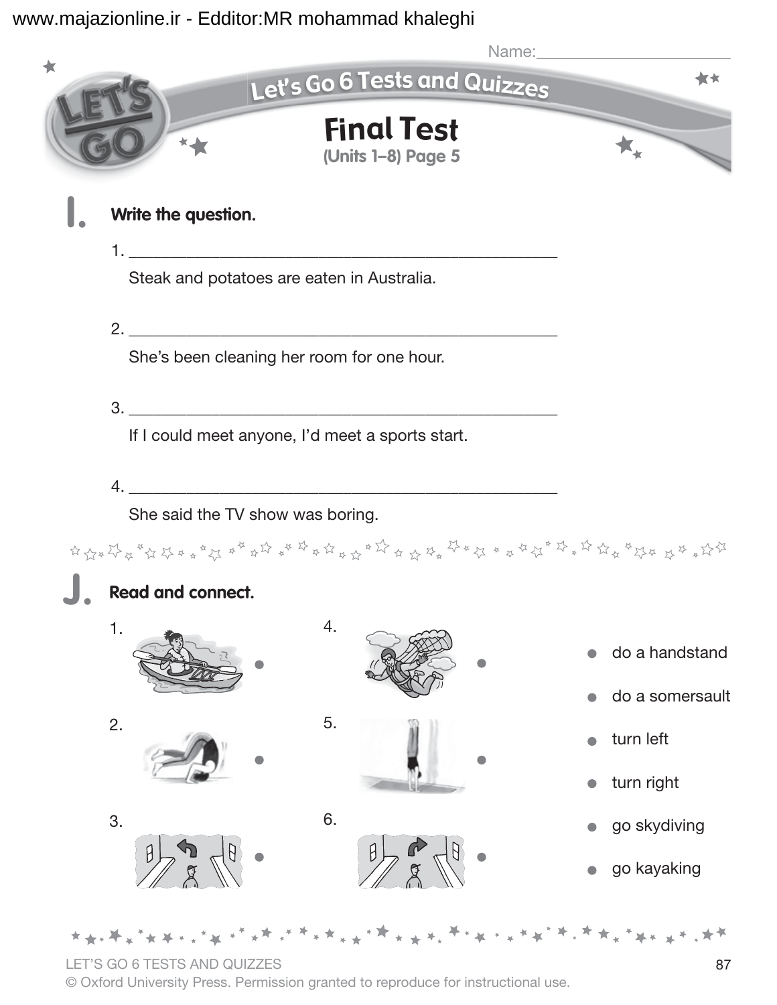

LET'S GO 6 TESTS AND QUIZZES 87

© Oxford University Press. Permission granted to reproduce for instructional use.